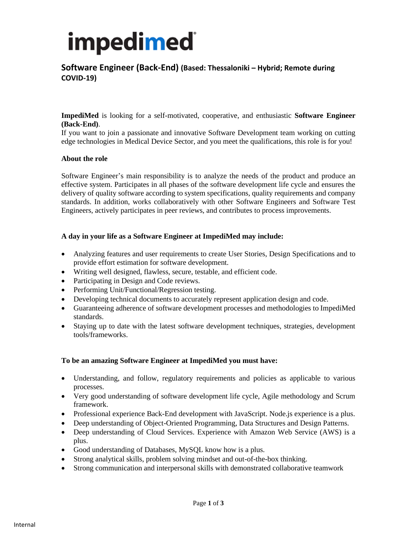# impedimed

### **Software Engineer (Back-End) (Based: Thessaloniki – Hybrid; Remote during COVID-19)**

**ImpediMed** is looking for a self-motivated, cooperative, and enthusiastic **Software Engineer (Back-End)**.

If you want to join a passionate and innovative Software Development team working on cutting edge technologies in Medical Device Sector, and you meet the qualifications, this role is for you!

#### **About the role**

Software Engineer's main responsibility is to analyze the needs of the product and produce an effective system. Participates in all phases of the software development life cycle and ensures the delivery of quality software according to system specifications, quality requirements and company standards. In addition, works collaboratively with other Software Engineers and Software Test Engineers, actively participates in peer reviews, and contributes to process improvements.

### **A day in your life as a Software Engineer at ImpediMed may include:**

- Analyzing features and user requirements to create User Stories, Design Specifications and to provide effort estimation for software development.
- Writing well designed, flawless, secure, testable, and efficient code.
- Participating in Design and Code reviews.
- Performing Unit/Functional/Regression testing.
- Developing technical documents to accurately represent application design and code.
- Guaranteeing adherence of software development processes and methodologies to ImpediMed standards.
- Staying up to date with the latest software development techniques, strategies, development tools/frameworks.

#### **To be an amazing Software Engineer at ImpediMed you must have:**

- Understanding, and follow, regulatory requirements and policies as applicable to various processes.
- Very good understanding of software development life cycle, Agile methodology and Scrum framework.
- Professional experience Back-End development with JavaScript. Node.js experience is a plus.
- Deep understanding of Object-Oriented Programming, Data Structures and Design Patterns.
- Deep understanding of Cloud Services. Experience with Amazon Web Service (AWS) is a plus.
- Good understanding of Databases, MySQL know how is a plus.
- Strong analytical skills, problem solving mindset and out-of-the-box thinking.
- Strong communication and interpersonal skills with demonstrated collaborative teamwork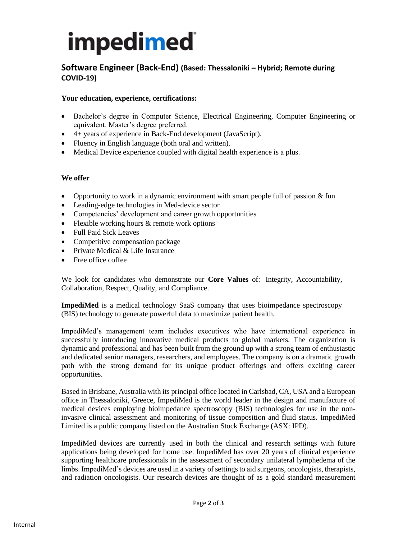# impedimed

## **Software Engineer (Back-End) (Based: Thessaloniki – Hybrid; Remote during COVID-19)**

### **Your education, experience, certifications:**

- Bachelor's degree in Computer Science, Electrical Engineering, Computer Engineering or equivalent. Master's degree preferred.
- 4+ years of experience in Back-End development (JavaScript).
- Fluency in English language (both oral and written).
- Medical Device experience coupled with digital health experience is a plus.

### **We offer**

- Opportunity to work in a dynamic environment with smart people full of passion & fun
- Leading-edge technologies in Med-device sector
- Competencies' development and career growth opportunities
- Flexible working hours & remote work options
- Full Paid Sick Leaves
- Competitive compensation package
- Private Medical & Life Insurance
- Free office coffee

We look for candidates who demonstrate our **Core Values** of: Integrity, Accountability, Collaboration, Respect, Quality, and Compliance.

**ImpediMed** is a medical technology SaaS company that uses bioimpedance spectroscopy (BIS) technology to generate powerful data to maximize patient health.

ImpediMed's management team includes executives who have international experience in successfully introducing innovative medical products to global markets. The organization is dynamic and professional and has been built from the ground up with a strong team of enthusiastic and dedicated senior managers, researchers, and employees. The company is on a dramatic growth path with the strong demand for its unique product offerings and offers exciting career opportunities.

Based in Brisbane, Australia with its principal office located in Carlsbad, CA, USA and a European office in Thessaloniki, Greece, ImpediMed is the world leader in the design and manufacture of medical devices employing bioimpedance spectroscopy (BIS) technologies for use in the noninvasive clinical assessment and monitoring of tissue composition and fluid status. ImpediMed Limited is a public company listed on the Australian Stock Exchange (ASX: IPD).

ImpediMed devices are currently used in both the clinical and research settings with future applications being developed for home use. ImpediMed has over 20 years of clinical experience supporting healthcare professionals in the assessment of secondary unilateral lymphedema of the limbs. ImpediMed's devices are used in a variety of settings to aid surgeons, oncologists, therapists, and radiation oncologists. Our research devices are thought of as a gold standard measurement